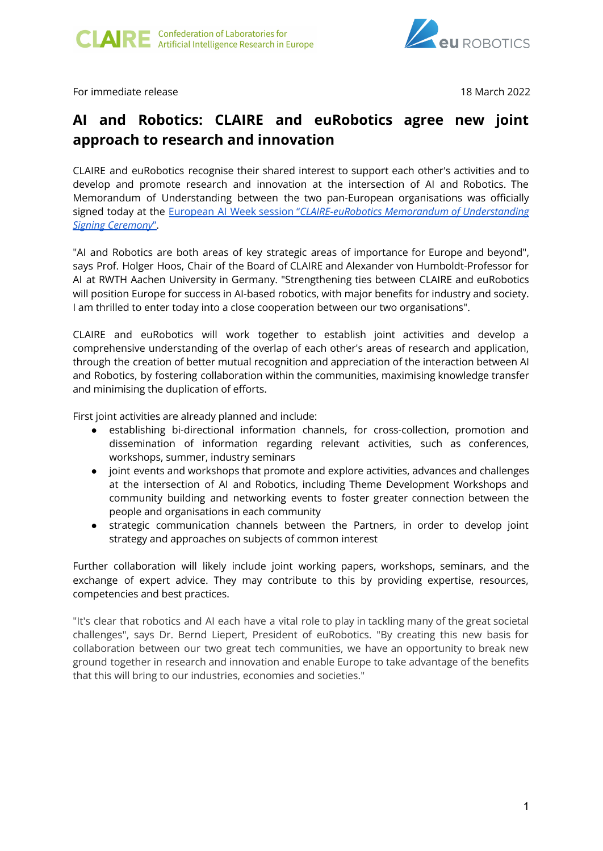

For immediate release 18 March 2022

## **AI and Robotics: CLAIRE and euRobotics agree new joint approach to research and innovation**

CLAIRE and euRobotics recognise their shared interest to support each other's activities and to develop and promote research and innovation at the intersection of AI and Robotics. The Memorandum of Understanding between the two pan-European organisations was officially signed today at the European AI Week session "*[CLAIRE-euRobotics](https://youtu.be/aqccKa8bAS4) Memorandum of Understanding Signing [Ceremony](https://youtu.be/aqccKa8bAS4)*".

"AI and Robotics are both areas of key strategic areas of importance for Europe and beyond", says Prof. Holger Hoos, Chair of the Board of CLAIRE and Alexander von Humboldt-Professor for AI at RWTH Aachen University in Germany. "Strengthening ties between CLAIRE and euRobotics will position Europe for success in AI-based robotics, with major benefits for industry and society. I am thrilled to enter today into a close cooperation between our two organisations".

CLAIRE and euRobotics will work together to establish joint activities and develop a comprehensive understanding of the overlap of each other's areas of research and application, through the creation of better mutual recognition and appreciation of the interaction between AI and Robotics, by fostering collaboration within the communities, maximising knowledge transfer and minimising the duplication of efforts.

First joint activities are already planned and include:

- establishing bi-directional information channels, for cross-collection, promotion and dissemination of information regarding relevant activities, such as conferences, workshops, summer, industry seminars
- joint events and workshops that promote and explore activities, advances and challenges at the intersection of AI and Robotics, including Theme Development Workshops and community building and networking events to foster greater connection between the people and organisations in each community
- strategic communication channels between the Partners, in order to develop joint strategy and approaches on subjects of common interest

Further collaboration will likely include joint working papers, workshops, seminars, and the exchange of expert advice. They may contribute to this by providing expertise, resources, competencies and best practices.

"It's clear that robotics and AI each have a vital role to play in tackling many of the great societal challenges", says Dr. Bernd Liepert, President of euRobotics. "By creating this new basis for collaboration between our two great tech communities, we have an opportunity to break new ground together in research and innovation and enable Europe to take advantage of the benefits that this will bring to our industries, economies and societies."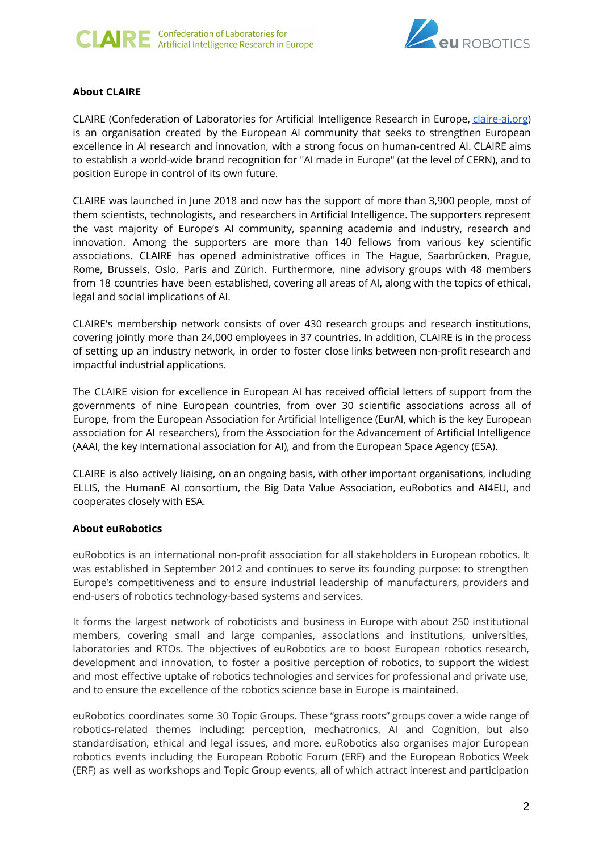



## **About CLAIRE**

CLAIRE (Confederation of Laboratories for Artificial Intelligence Research in Europe, *claire-ai.org*) is an organisation created by the European AI community that seeks to strengthen European excellence in AI research and innovation, with a strong focus on human-centred AI. CLAIRE aims to establish a world-wide brand recognition for "AI made in Europe" (at the level of CERN), and to position Europe in control of its own future.

CLAIRE was launched in June 2018 and now has the support of more than 3,900 people, most of them scientists, technologists, and researchers in Artificial Intelligence. The supporters represent the vast majority of Europe's AI community, spanning academia and industry, research and innovation. Among the supporters are more than 140 fellows from various key scientific associations. CLAIRE has opened administrative offices in The Hague, Saarbrücken, Prague, Rome, Brussels, Oslo, Paris and Zürich. Furthermore, nine advisory groups with 48 members from 18 countries have been established, covering all areas of AI, along with the topics of ethical, legal and social implications of AI.

CLAIRE's membership network consists of over 430 research groups and research institutions, covering jointly more than 24,000 employees in 37 countries. In addition, CLAIRE is in the process of setting up an industry network, in order to foster close links between non-profit research and impactful industrial applications.

The CLAIRE vision for excellence in European AI has received official letters of support from the governments of nine European countries, from over 30 scientific associations across all of Europe, from the European Association for Artificial Intelligence (EurAI, which is the key European association for AI researchers), from the Association for the Advancement of Artificial Intelligence (AAAI, the key international association for AI), and from the European Space Agency (ESA).

CLAIRE is also actively liaising, on an ongoing basis, with other important organisations, including ELLIS, the HumanE AI consortium, the Big Data Value Association, euRobotics and AI4EU, and cooperates closely with ESA.

## **About euRobotics**

euRobotics is an international non-profit association for all stakeholders in European robotics. It was established in September 2012 and continues to serve its founding purpose: to strengthen Europe's competitiveness and to ensure industrial leadership of manufacturers, providers and end-users of robotics technology-based systems and services.

It forms the largest network of roboticists and business in Europe with about 250 institutional members, covering small and large companies, associations and institutions, universities, laboratories and RTOs. The objectives of euRobotics are to boost European robotics research, development and innovation, to foster a positive perception of robotics, to support the widest and most effective uptake of robotics technologies and services for professional and private use, and to ensure the excellence of the robotics science base in Europe is maintained.

euRobotics coordinates some 30 Topic Groups. These "grass roots" groups cover a wide range of robotics-related themes including: perception, mechatronics, AI and Cognition, but also standardisation, ethical and legal issues, and more. euRobotics also organises major European robotics events including the European Robotic Forum (ERF) and the European Robotics Week (ERF) as well as workshops and Topic Group events, all of which attract interest and participation